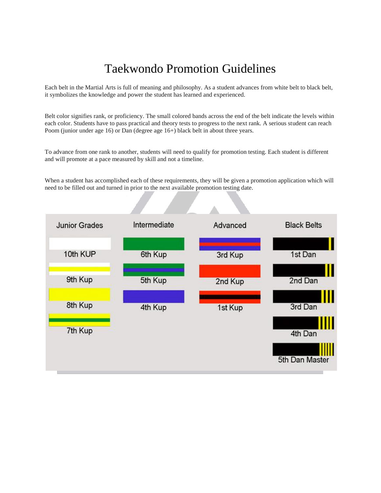# Taekwondo Promotion Guidelines

Each belt in the Martial Arts is full of meaning and philosophy. As a student advances from white belt to black belt, it symbolizes the knowledge and power the student has learned and experienced.

Belt color signifies rank, or proficiency. The small colored bands across the end of the belt indicate the levels within each color. Students have to pass practical and theory tests to progress to the next rank. A serious student can reach Poom (junior under age 16) or Dan (degree age 16+) black belt in about three years.

To advance from one rank to another, students will need to qualify for promotion testing. Each student is different and will promote at a pace measured by skill and not a timeline.

When a student has accomplished each of these requirements, they will be given a promotion application which will need to be filled out and turned in prior to the next available promotion testing date.

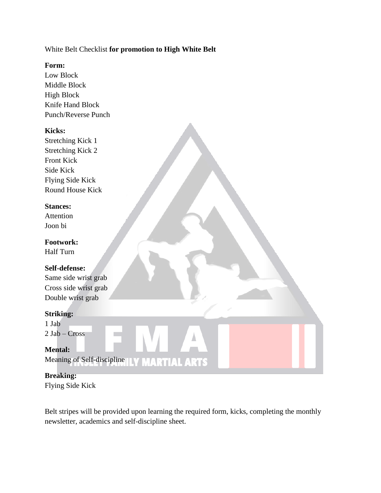#### White Belt Checklist **for promotion to High White Belt**

#### **Form:**

Low Block Middle Block High Block Knife Hand Block Punch/Reverse Punch

#### **Kicks:**

Stretching Kick 1 Stretching Kick 2 Front Kick Side Kick Flying Side Kick Round House Kick

#### **Stances:**

Attention Joon bi

**Footwork:** Half Turn

#### **Self-defense:**

Same side wrist grab Cross side wrist grab Double wrist grab

#### **Striking:**

1 Jab 2 Jab – Cross

## **Mental:**

Meaning of Self-discipline ILY MARTIAL ARTS

#### **Breaking:** Flying Side Kick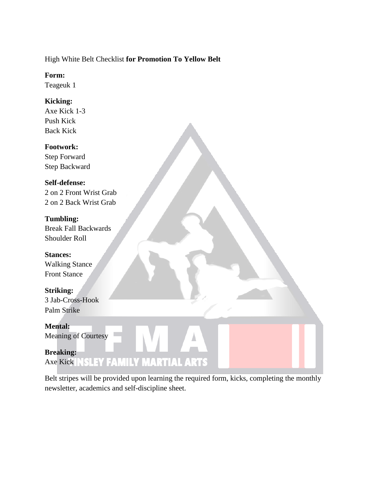## High White Belt Checklist **for Promotion To Yellow Belt**

#### **Form:**

Teageuk 1

## **Kicking:**

Axe Kick 1-3 Push Kick Back Kick

## **Footwork:**

Step Forward Step Backward

## **Self-defense:**

2 on 2 Front Wrist Grab 2 on 2 Back Wrist Grab

## **Tumbling:**

Break Fall Backwards Shoulder Roll

#### **Stances:** Walking Stance Front Stance

**Striking:** 3 Jab-Cross-Hook Palm Strike

## **Mental:** Meaning of Courtesy

**Breaking: Axe Kick INSLEY FAMILY MARTIAL ARTS**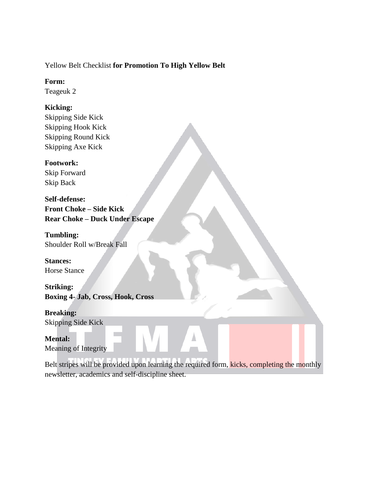#### Yellow Belt Checklist **for Promotion To High Yellow Belt**

#### **Form:**

Teageuk 2

## **Kicking:**

Skipping Side Kick Skipping Hook Kick Skipping Round Kick Skipping Axe Kick

## **Footwork:**

Skip Forward Skip Back

**Self-defense: Front Choke – Side Kick Rear Choke – Duck Under Escape**

**Tumbling:** Shoulder Roll w/Break Fall

**Stances:** Horse Stance

**Striking: Boxing 4- Jab, Cross, Hook, Cross**

**Breaking:** Skipping Side Kick

**Mental:** Meaning of Integrity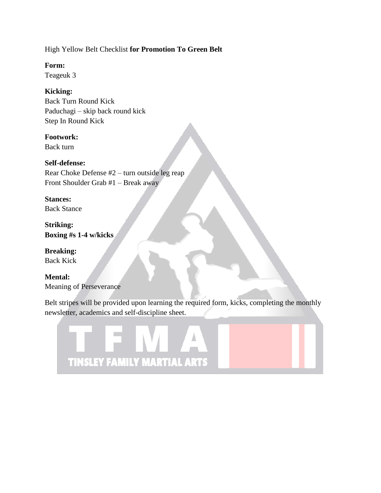High Yellow Belt Checklist **for Promotion To Green Belt**

**Form:**

Teageuk 3

## **Kicking:**

Back Turn Round Kick Paduchagi – skip back round kick Step In Round Kick

## **Footwork:**

Back turn

## **Self-defense:**

Rear Choke Defense #2 – turn outside leg reap Front Shoulder Grab #1 – Break away

#### **Stances:**

Back Stance

**Striking: Boxing #s 1-4 w/kicks**

**Breaking:** Back Kick

**Mental:** Meaning of Perseverance

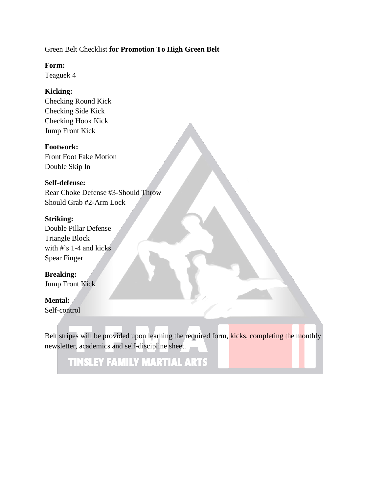#### Green Belt Checklist **for Promotion To High Green Belt**

**Form:**

Teaguek 4

#### **Kicking:**

Checking Round Kick Checking Side Kick Checking Hook Kick Jump Front Kick

#### **Footwork:**

Front Foot Fake Motion Double Skip In

#### **Self-defense:**

Rear Choke Defense #3-Should Throw Should Grab #2-Arm Lock

#### **Striking:**

Double Pillar Defense Triangle Block with #'s 1-4 and kicks Spear Finger

#### **Breaking:**

Jump Front Kick

## **Mental:**

Self-control

Belt stripes will be provided upon learning the required form, kicks, completing the monthly newsletter, academics and self-discipline sheet.

**TINSLEY FAMILY MARTIAL ARTS**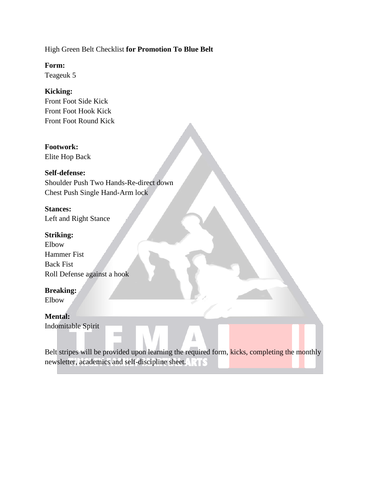High Green Belt Checklist **for Promotion To Blue Belt**

**Form:**

Teageuk 5

## **Kicking:**

Front Foot Side Kick Front Foot Hook Kick Front Foot Round Kick

#### **Footwork:**

Elite Hop Back

## **Self-defense:**

Shoulder Push Two Hands-Re-direct down Chest Push Single Hand-Arm lock

**Stances:** Left and Right Stance

#### **Striking:**

Elbow Hammer Fist Back Fist Roll Defense against a hook

## **Breaking:**

Elbow

## **Mental:**

Indomitable Spirit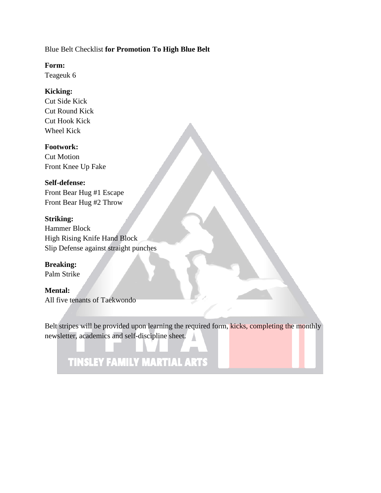#### Blue Belt Checklist **for Promotion To High Blue Belt**

#### **Form:**

Teageuk 6

#### **Kicking:**

Cut Side Kick Cut Round Kick Cut Hook Kick Wheel Kick

#### **Footwork:**

Cut Motion Front Knee Up Fake

#### **Self-defense:**

Front Bear Hug #1 Escape Front Bear Hug #2 Throw

#### **Striking:**

Hammer Block High Rising Knife Hand Block Slip Defense against straight punches

**Breaking:** Palm Strike

## **Mental:** All five tenants of Taekwondo

Belt stripes will be provided upon learning the required form, kicks, completing the monthly newsletter, academics and self-discipline sheet.

# **TINSLEY FAMILY MARTIAL ARTS**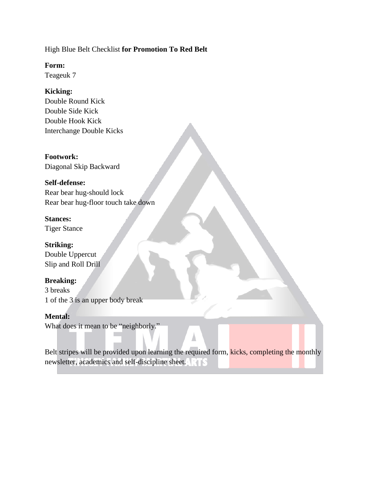#### High Blue Belt Checklist **for Promotion To Red Belt**

**Form:**

Teageuk 7

## **Kicking:**

Double Round Kick Double Side Kick Double Hook Kick Interchange Double Kicks

#### **Footwork:**

Diagonal Skip Backward

#### **Self-defense:**

Rear bear hug-should lock Rear bear hug-floor touch take down

## **Stances:**

Tiger Stance

## **Striking:**

Double Uppercut Slip and Roll Drill

## **Breaking:**

3 breaks 1 of the 3 is an upper body break

## **Mental:**

What does it mean to be "neighborly."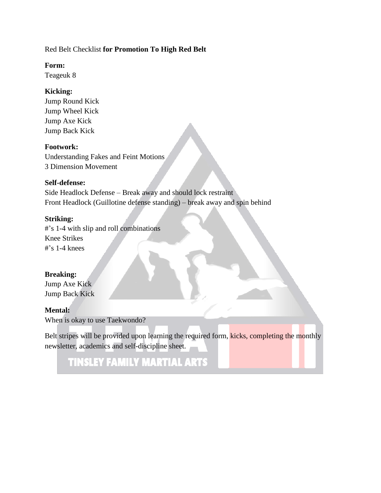#### Red Belt Checklist **for Promotion To High Red Belt**

**Form:**

Teageuk 8

#### **Kicking:**

Jump Round Kick Jump Wheel Kick Jump Axe Kick Jump Back Kick

#### **Footwork:**

Understanding Fakes and Feint Motions 3 Dimension Movement

#### **Self-defense:**

Side Headlock Defense – Break away and should lock restraint Front Headlock (Guillotine defense standing) – break away and spin behind

#### **Striking:**

#'s 1-4 with slip and roll combinations Knee Strikes  $\#$ 's 1-4 knees

#### **Breaking:**

Jump Axe Kick Jump Back Kick

#### **Mental:**

When is okay to use Taekwondo?

Belt stripes will be provided upon learning the required form, kicks, completing the monthly newsletter, academics and self-discipline sheet.

## **TINSLEY FAMILY MARTIAL ARTS**